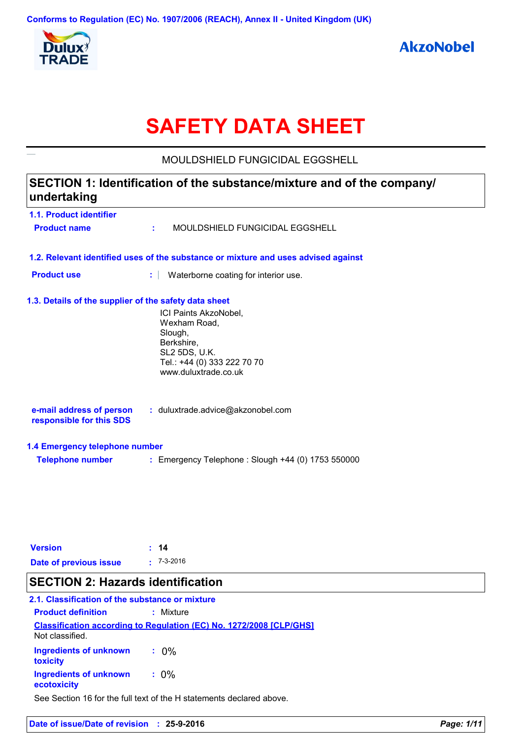

# **SAFETY DATA SHEET**

**1.1. Product identifier 1.3. Details of the supplier of the safety data sheet 1.2. Relevant identified uses of the substance or mixture and uses advised against SECTION 1: Identification of the substance/mixture and of the company/ undertaking** ICI Paints AkzoNobel, Wexham Road, Slough, Berkshire, SL2 5DS, U.K. Tel.: +44 (0) 333 222 70 70 www.duluxtrade.co.uk **e-mail address of person responsible for this SDS :** duluxtrade.advice@akzonobel.com **1.4 Emergency telephone number Telephone number :** Emergency Telephone : Slough +44 (0) 1753 550000 **Product name :** MOULDSHIELD FUNGICIDAL EGGSHELL **Product use <b>:** Waterborne coating for interior use. MOULDSHIELD FUNGICIDAL EGGSHELL

| <b>Version</b>         | $\div$ 14        |
|------------------------|------------------|
| Date of previous issue | $\cdot$ 7-3-2016 |

# **SECTION 2: Hazards identification**

# **2.1. Classification of the substance or mixture**

| <b>Product definition</b>                    | $:$ Mixture                                                                |
|----------------------------------------------|----------------------------------------------------------------------------|
| Not classified.                              | <b>Classification according to Regulation (EC) No. 1272/2008 [CLP/GHS]</b> |
| <b>Ingredients of unknown</b><br>toxicity    | $.0\%$                                                                     |
| <b>Ingredients of unknown</b><br>ecotoxicity | $: 0\%$                                                                    |

See Section 16 for the full text of the H statements declared above.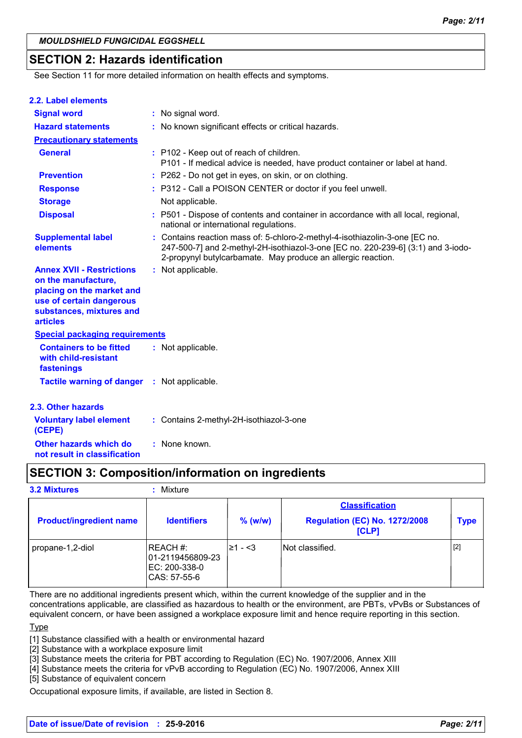# **SECTION 2: Hazards identification**

See Section 11 for more detailed information on health effects and symptoms.

| 2.2. Label elements                                                                                                                                             |                                                                                                                                                                                                                                 |
|-----------------------------------------------------------------------------------------------------------------------------------------------------------------|---------------------------------------------------------------------------------------------------------------------------------------------------------------------------------------------------------------------------------|
| <b>Signal word</b>                                                                                                                                              | : No signal word.                                                                                                                                                                                                               |
| <b>Hazard statements</b>                                                                                                                                        | : No known significant effects or critical hazards.                                                                                                                                                                             |
| <b>Precautionary statements</b>                                                                                                                                 |                                                                                                                                                                                                                                 |
| <b>General</b>                                                                                                                                                  | : P102 - Keep out of reach of children.<br>P101 - If medical advice is needed, have product container or label at hand.                                                                                                         |
| <b>Prevention</b>                                                                                                                                               | : P262 - Do not get in eyes, on skin, or on clothing.                                                                                                                                                                           |
| <b>Response</b>                                                                                                                                                 | : P312 - Call a POISON CENTER or doctor if you feel unwell.                                                                                                                                                                     |
| <b>Storage</b>                                                                                                                                                  | Not applicable.                                                                                                                                                                                                                 |
| <b>Disposal</b>                                                                                                                                                 | : P501 - Dispose of contents and container in accordance with all local, regional,<br>national or international regulations.                                                                                                    |
| <b>Supplemental label</b><br>elements                                                                                                                           | : Contains reaction mass of: 5-chloro-2-methyl-4-isothiazolin-3-one [EC no.<br>247-500-7] and 2-methyl-2H-isothiazol-3-one [EC no. 220-239-6] (3:1) and 3-iodo-<br>2-propynyl butylcarbamate. May produce an allergic reaction. |
| <b>Annex XVII - Restrictions</b><br>on the manufacture,<br>placing on the market and<br>use of certain dangerous<br>substances, mixtures and<br><b>articles</b> | : Not applicable.                                                                                                                                                                                                               |
| <b>Special packaging requirements</b>                                                                                                                           |                                                                                                                                                                                                                                 |
| <b>Containers to be fitted</b><br>with child-resistant<br>fastenings                                                                                            | : Not applicable.                                                                                                                                                                                                               |
| <b>Tactile warning of danger</b>                                                                                                                                | : Not applicable.                                                                                                                                                                                                               |
| 2.3. Other hazards                                                                                                                                              |                                                                                                                                                                                                                                 |
| <b>Voluntary label element</b><br>(CEPE)                                                                                                                        | : Contains 2-methyl-2H-isothiazol-3-one                                                                                                                                                                                         |
| Other hazards which do<br>not result in classification                                                                                                          | : None known.                                                                                                                                                                                                                   |

# **SECTION 3: Composition/information on ingredients**

**3.2 Mixtures :** Mixture

| <b>Product/ingredient name</b> | <b>Identifiers</b>                                            | $%$ (w/w) | <b>Classification</b><br><b>Regulation (EC) No. 1272/2008</b><br>[CLP] | <b>Type</b> |
|--------------------------------|---------------------------------------------------------------|-----------|------------------------------------------------------------------------|-------------|
| propane-1,2-diol               | IREACH#:<br>01-2119456809-23<br>EC: 200-338-0<br>CAS: 57-55-6 | l≥1 - <3  | INot classified.                                                       | $[2]$       |

There are no additional ingredients present which, within the current knowledge of the supplier and in the concentrations applicable, are classified as hazardous to health or the environment, are PBTs, vPvBs or Substances of

equivalent concern, or have been assigned a workplace exposure limit and hence require reporting in this section.

**Type** 

[1] Substance classified with a health or environmental hazard

[2] Substance with a workplace exposure limit

[3] Substance meets the criteria for PBT according to Regulation (EC) No. 1907/2006, Annex XIII

[4] Substance meets the criteria for vPvB according to Regulation (EC) No. 1907/2006, Annex XIII

[5] Substance of equivalent concern

Occupational exposure limits, if available, are listed in Section 8.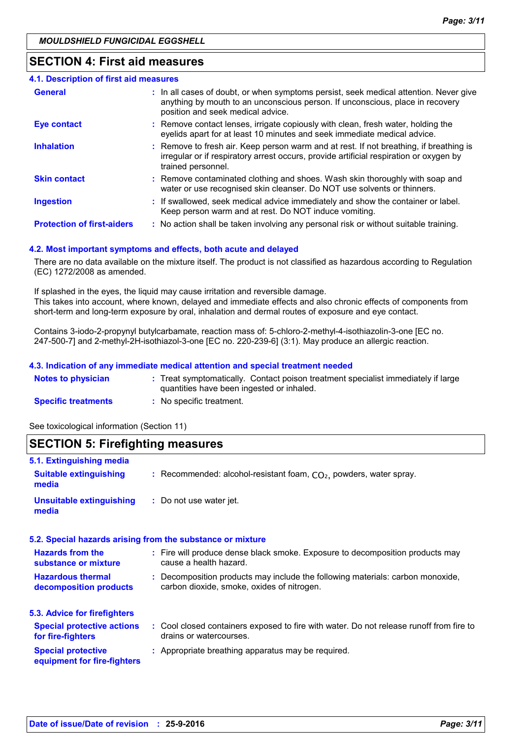# **SECTION 4: First aid measures**

| <b>4.1. Description of first aid measures</b> |                                                                                                                                                                                                             |
|-----------------------------------------------|-------------------------------------------------------------------------------------------------------------------------------------------------------------------------------------------------------------|
| <b>General</b>                                | : In all cases of doubt, or when symptoms persist, seek medical attention. Never give<br>anything by mouth to an unconscious person. If unconscious, place in recovery<br>position and seek medical advice. |
| <b>Eye contact</b>                            | : Remove contact lenses, irrigate copiously with clean, fresh water, holding the<br>eyelids apart for at least 10 minutes and seek immediate medical advice.                                                |
| <b>Inhalation</b>                             | : Remove to fresh air. Keep person warm and at rest. If not breathing, if breathing is<br>irregular or if respiratory arrest occurs, provide artificial respiration or oxygen by<br>trained personnel.      |
| <b>Skin contact</b>                           | : Remove contaminated clothing and shoes. Wash skin thoroughly with soap and<br>water or use recognised skin cleanser. Do NOT use solvents or thinners.                                                     |
| <b>Ingestion</b>                              | : If swallowed, seek medical advice immediately and show the container or label.<br>Keep person warm and at rest. Do NOT induce vomiting.                                                                   |
| <b>Protection of first-aiders</b>             | : No action shall be taken involving any personal risk or without suitable training.                                                                                                                        |

#### **4.2. Most important symptoms and effects, both acute and delayed**

There are no data available on the mixture itself. The product is not classified as hazardous according to Regulation (EC) 1272/2008 as amended.

If splashed in the eyes, the liquid may cause irritation and reversible damage. This takes into account, where known, delayed and immediate effects and also chronic effects of components from short-term and long-term exposure by oral, inhalation and dermal routes of exposure and eye contact.

Contains 3-iodo-2-propynyl butylcarbamate, reaction mass of: 5-chloro-2-methyl-4-isothiazolin-3-one [EC no. 247-500-7] and 2-methyl-2H-isothiazol-3-one [EC no. 220-239-6] (3:1). May produce an allergic reaction.

#### **4.3. Indication of any immediate medical attention and special treatment needed**

| <b>Notes to physician</b>  | : Treat symptomatically. Contact poison treatment specialist immediately if large<br>quantities have been ingested or inhaled. |
|----------------------------|--------------------------------------------------------------------------------------------------------------------------------|
| <b>Specific treatments</b> | : No specific treatment.                                                                                                       |

See toxicological information (Section 11)

| <b>SECTION 5: Firefighting measures</b>                            |                                                                                                                              |  |  |  |
|--------------------------------------------------------------------|------------------------------------------------------------------------------------------------------------------------------|--|--|--|
| 5.1. Extinguishing media<br><b>Suitable extinguishing</b><br>media | : Recommended: alcohol-resistant foam, $CO2$ , powders, water spray.                                                         |  |  |  |
| <b>Unsuitable extinguishing</b><br>media                           | : Do not use water jet.                                                                                                      |  |  |  |
|                                                                    | 5.2. Special hazards arising from the substance or mixture                                                                   |  |  |  |
| <b>Hazards from the</b><br>substance or mixture                    | : Fire will produce dense black smoke. Exposure to decomposition products may<br>cause a health hazard.                      |  |  |  |
| <b>Hazardous thermal</b><br>decomposition products                 | : Decomposition products may include the following materials: carbon monoxide,<br>carbon dioxide, smoke, oxides of nitrogen. |  |  |  |
| 5.3. Advice for firefighters                                       |                                                                                                                              |  |  |  |
| <b>Special protective actions</b><br>for fire-fighters             | : Cool closed containers exposed to fire with water. Do not release runoff from fire to<br>drains or watercourses.           |  |  |  |
| <b>Special protective</b><br>equipment for fire-fighters           | : Appropriate breathing apparatus may be required.                                                                           |  |  |  |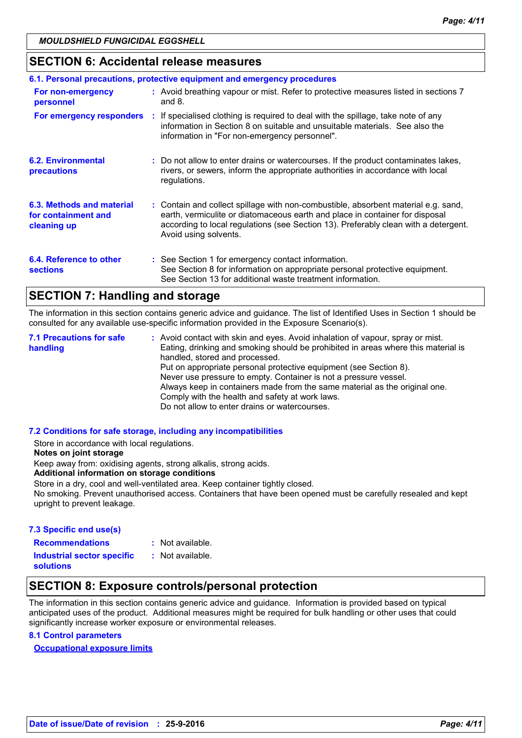# **SECTION 6: Accidental release measures**

| 6.1. Personal precautions, protective equipment and emergency procedures |  |                                                                                                                                                                                                                                                                                    |  |
|--------------------------------------------------------------------------|--|------------------------------------------------------------------------------------------------------------------------------------------------------------------------------------------------------------------------------------------------------------------------------------|--|
| For non-emergency<br>personnel                                           |  | : Avoid breathing vapour or mist. Refer to protective measures listed in sections 7<br>and $8.$                                                                                                                                                                                    |  |
|                                                                          |  | <b>For emergency responders</b> : If specialised clothing is required to deal with the spillage, take note of any<br>information in Section 8 on suitable and unsuitable materials. See also the<br>information in "For non-emergency personnel".                                  |  |
| <b>6.2. Environmental</b><br>precautions                                 |  | : Do not allow to enter drains or watercourses. If the product contaminates lakes,<br>rivers, or sewers, inform the appropriate authorities in accordance with local<br>regulations.                                                                                               |  |
| 6.3. Methods and material<br>for containment and<br>cleaning up          |  | : Contain and collect spillage with non-combustible, absorbent material e.g. sand,<br>earth, vermiculite or diatomaceous earth and place in container for disposal<br>according to local regulations (see Section 13). Preferably clean with a detergent.<br>Avoid using solvents. |  |
| 6.4. Reference to other<br><b>sections</b>                               |  | : See Section 1 for emergency contact information.<br>See Section 8 for information on appropriate personal protective equipment.<br>See Section 13 for additional waste treatment information.                                                                                    |  |

# **SECTION 7: Handling and storage**

The information in this section contains generic advice and guidance. The list of Identified Uses in Section 1 should be consulted for any available use-specific information provided in the Exposure Scenario(s).

Avoid contact with skin and eyes. Avoid inhalation of vapour, spray or mist. **:** Eating, drinking and smoking should be prohibited in areas where this material is handled, stored and processed. Put on appropriate personal protective equipment (see Section 8). Never use pressure to empty. Container is not a pressure vessel. Always keep in containers made from the same material as the original one. Comply with the health and safety at work laws. Do not allow to enter drains or watercourses. **7.1 Precautions for safe handling**

#### **7.2 Conditions for safe storage, including any incompatibilities**

Store in accordance with local regulations.

#### **Notes on joint storage**

Keep away from: oxidising agents, strong alkalis, strong acids.

#### **Additional information on storage conditions**

Store in a dry, cool and well-ventilated area. Keep container tightly closed.

No smoking. Prevent unauthorised access. Containers that have been opened must be carefully resealed and kept upright to prevent leakage.

#### **7.3 Specific end use(s)**

**Recommendations :**

: Not available.

**Industrial sector specific : solutions**

: Not available.

# **SECTION 8: Exposure controls/personal protection**

The information in this section contains generic advice and guidance. Information is provided based on typical anticipated uses of the product. Additional measures might be required for bulk handling or other uses that could significantly increase worker exposure or environmental releases.

## **8.1 Control parameters**

**Occupational exposure limits**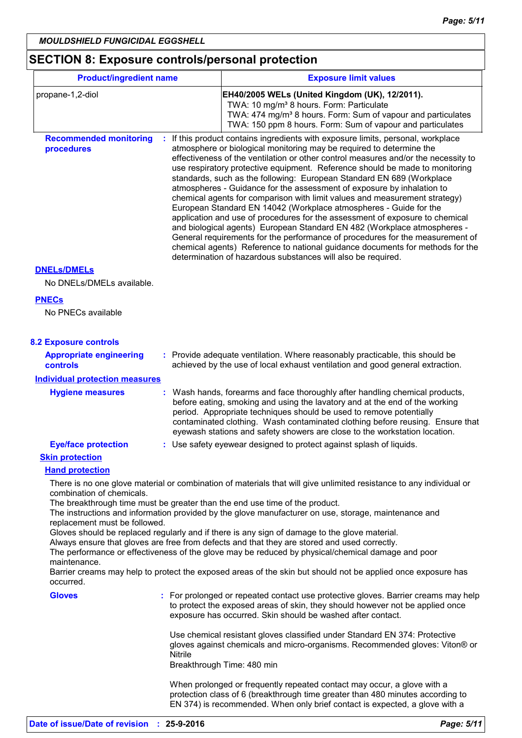# **SECTION 8: Exposure controls/personal protection**

| <b>Product/ingredient name</b>              |                | <b>Exposure limit values</b>                                                                                                                                                                                                                                                                                                                                                                                                                                                                                                                                                                                                                                                                                                                                                                                                                                                                                                                                                                                                     |
|---------------------------------------------|----------------|----------------------------------------------------------------------------------------------------------------------------------------------------------------------------------------------------------------------------------------------------------------------------------------------------------------------------------------------------------------------------------------------------------------------------------------------------------------------------------------------------------------------------------------------------------------------------------------------------------------------------------------------------------------------------------------------------------------------------------------------------------------------------------------------------------------------------------------------------------------------------------------------------------------------------------------------------------------------------------------------------------------------------------|
| propane-1,2-diol                            |                | EH40/2005 WELs (United Kingdom (UK), 12/2011).<br>TWA: 10 mg/m <sup>3</sup> 8 hours. Form: Particulate<br>TWA: 474 mg/m <sup>3</sup> 8 hours. Form: Sum of vapour and particulates<br>TWA: 150 ppm 8 hours. Form: Sum of vapour and particulates                                                                                                                                                                                                                                                                                                                                                                                                                                                                                                                                                                                                                                                                                                                                                                                 |
| <b>Recommended monitoring</b><br>procedures |                | If this product contains ingredients with exposure limits, personal, workplace<br>atmosphere or biological monitoring may be required to determine the<br>effectiveness of the ventilation or other control measures and/or the necessity to<br>use respiratory protective equipment. Reference should be made to monitoring<br>standards, such as the following: European Standard EN 689 (Workplace<br>atmospheres - Guidance for the assessment of exposure by inhalation to<br>chemical agents for comparison with limit values and measurement strategy)<br>European Standard EN 14042 (Workplace atmospheres - Guide for the<br>application and use of procedures for the assessment of exposure to chemical<br>and biological agents) European Standard EN 482 (Workplace atmospheres -<br>General requirements for the performance of procedures for the measurement of<br>chemical agents) Reference to national guidance documents for methods for the<br>determination of hazardous substances will also be required. |
| <b>DNELS/DMELS</b>                          |                |                                                                                                                                                                                                                                                                                                                                                                                                                                                                                                                                                                                                                                                                                                                                                                                                                                                                                                                                                                                                                                  |
| No DNELs/DMELs available.                   |                |                                                                                                                                                                                                                                                                                                                                                                                                                                                                                                                                                                                                                                                                                                                                                                                                                                                                                                                                                                                                                                  |
| <b>PNECs</b><br>No PNECs available          |                |                                                                                                                                                                                                                                                                                                                                                                                                                                                                                                                                                                                                                                                                                                                                                                                                                                                                                                                                                                                                                                  |
| <b>8.2 Exposure controls</b>                |                |                                                                                                                                                                                                                                                                                                                                                                                                                                                                                                                                                                                                                                                                                                                                                                                                                                                                                                                                                                                                                                  |
| <b>Appropriate engineering</b><br>controls  |                | : Provide adequate ventilation. Where reasonably practicable, this should be<br>achieved by the use of local exhaust ventilation and good general extraction.                                                                                                                                                                                                                                                                                                                                                                                                                                                                                                                                                                                                                                                                                                                                                                                                                                                                    |
| <b>Individual protection measures</b>       |                |                                                                                                                                                                                                                                                                                                                                                                                                                                                                                                                                                                                                                                                                                                                                                                                                                                                                                                                                                                                                                                  |
| <b>Hygiene measures</b>                     |                | Wash hands, forearms and face thoroughly after handling chemical products,<br>before eating, smoking and using the lavatory and at the end of the working<br>period. Appropriate techniques should be used to remove potentially<br>contaminated clothing. Wash contaminated clothing before reusing. Ensure that<br>eyewash stations and safety showers are close to the workstation location.                                                                                                                                                                                                                                                                                                                                                                                                                                                                                                                                                                                                                                  |
| <b>Eye/face protection</b>                  |                | : Use safety eyewear designed to protect against splash of liquids.                                                                                                                                                                                                                                                                                                                                                                                                                                                                                                                                                                                                                                                                                                                                                                                                                                                                                                                                                              |
| <b>Skin protection</b>                      |                |                                                                                                                                                                                                                                                                                                                                                                                                                                                                                                                                                                                                                                                                                                                                                                                                                                                                                                                                                                                                                                  |
| <b>Hand protection</b>                      |                |                                                                                                                                                                                                                                                                                                                                                                                                                                                                                                                                                                                                                                                                                                                                                                                                                                                                                                                                                                                                                                  |
| combination of chemicals.                   |                | There is no one glove material or combination of materials that will give unlimited resistance to any individual or                                                                                                                                                                                                                                                                                                                                                                                                                                                                                                                                                                                                                                                                                                                                                                                                                                                                                                              |
| replacement must be followed.               |                | The breakthrough time must be greater than the end use time of the product.<br>The instructions and information provided by the glove manufacturer on use, storage, maintenance and                                                                                                                                                                                                                                                                                                                                                                                                                                                                                                                                                                                                                                                                                                                                                                                                                                              |
|                                             |                | Gloves should be replaced regularly and if there is any sign of damage to the glove material.<br>Always ensure that gloves are free from defects and that they are stored and used correctly.<br>The performance or effectiveness of the glove may be reduced by physical/chemical damage and poor                                                                                                                                                                                                                                                                                                                                                                                                                                                                                                                                                                                                                                                                                                                               |
| maintenance.<br>occurred.                   |                | Barrier creams may help to protect the exposed areas of the skin but should not be applied once exposure has                                                                                                                                                                                                                                                                                                                                                                                                                                                                                                                                                                                                                                                                                                                                                                                                                                                                                                                     |
| <b>Gloves</b>                               |                | : For prolonged or repeated contact use protective gloves. Barrier creams may help<br>to protect the exposed areas of skin, they should however not be applied once<br>exposure has occurred. Skin should be washed after contact.                                                                                                                                                                                                                                                                                                                                                                                                                                                                                                                                                                                                                                                                                                                                                                                               |
|                                             | <b>Nitrile</b> | Use chemical resistant gloves classified under Standard EN 374: Protective<br>gloves against chemicals and micro-organisms. Recommended gloves: Viton® or<br>Breakthrough Time: 480 min                                                                                                                                                                                                                                                                                                                                                                                                                                                                                                                                                                                                                                                                                                                                                                                                                                          |
|                                             |                | When prolonged or frequently repeated contact may occur, a glove with a<br>protection class of 6 (breakthrough time greater than 480 minutes according to<br>EN 374) is recommended. When only brief contact is expected, a glove with a                                                                                                                                                                                                                                                                                                                                                                                                                                                                                                                                                                                                                                                                                                                                                                                         |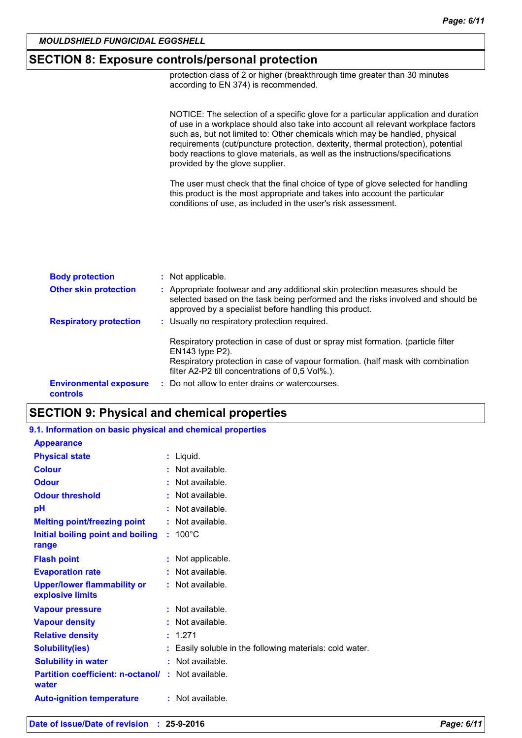#### *MOULDSHIELD FUNGICIDAL EGGSHELL*

# **SECTION 8: Exposure controls/personal protection**

protection class of 2 or higher (breakthrough time greater than 30 minutes according to EN 374) is recommended.

NOTICE: The selection of a specific glove for a particular application and duration of use in a workplace should also take into account all relevant workplace factors such as, but not limited to: Other chemicals which may be handled, physical requirements (cut/puncture protection, dexterity, thermal protection), potential body reactions to glove materials, as well as the instructions/specifications provided by the glove supplier.

The user must check that the final choice of type of glove selected for handling this product is the most appropriate and takes into account the particular conditions of use, as included in the user's risk assessment.

| <b>Body protection</b>                    | : Not applicable.                                                                                                                                                                                                                              |
|-------------------------------------------|------------------------------------------------------------------------------------------------------------------------------------------------------------------------------------------------------------------------------------------------|
| <b>Other skin protection</b>              | : Appropriate footwear and any additional skin protection measures should be<br>selected based on the task being performed and the risks involved and should be<br>approved by a specialist before handling this product.                      |
| <b>Respiratory protection</b>             | : Usually no respiratory protection required.                                                                                                                                                                                                  |
|                                           | Respiratory protection in case of dust or spray mist formation. (particle filter<br>$EN143$ type $P2$ ).<br>Respiratory protection in case of vapour formation. (half mask with combination<br>filter A2-P2 till concentrations of 0,5 Vol%.). |
| <b>Environmental exposure</b><br>controls | : Do not allow to enter drains or watercourses.                                                                                                                                                                                                |

# **SECTION 9: Physical and chemical properties**

| 9.1. Information on basic physical and chemical properties         |                                                          |
|--------------------------------------------------------------------|----------------------------------------------------------|
| <b>Appearance</b>                                                  |                                                          |
| <b>Physical state</b>                                              | $:$ Liquid.                                              |
| <b>Colour</b>                                                      | $:$ Not available.                                       |
| <b>Odour</b>                                                       | $:$ Not available.                                       |
| <b>Odour threshold</b>                                             | $\cdot$ Not available.                                   |
| рH                                                                 | $:$ Not available.                                       |
| <b>Melting point/freezing point</b>                                | : Not available.                                         |
| Initial boiling point and boiling                                  | $: 100^{\circ}$ C                                        |
| range                                                              |                                                          |
| <b>Flash point</b>                                                 | : Not applicable.                                        |
| <b>Evaporation rate</b>                                            | $:$ Not available.                                       |
| <b>Upper/lower flammability or</b><br>explosive limits             | $:$ Not available.                                       |
| <b>Vapour pressure</b>                                             | $:$ Not available.                                       |
| <b>Vapour density</b>                                              | : Not available.                                         |
| <b>Relative density</b>                                            | : 1.271                                                  |
| <b>Solubility(ies)</b>                                             | : Easily soluble in the following materials: cold water. |
| <b>Solubility in water</b>                                         | : Not available.                                         |
| <b>Partition coefficient: n-octanol/ : Not available.</b><br>water |                                                          |
| <b>Auto-ignition temperature</b>                                   | : Not available.                                         |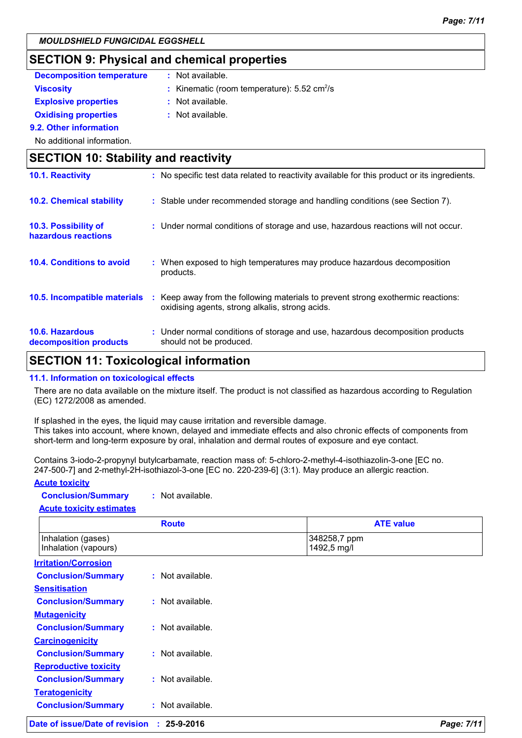# **SECTION 9: Physical and chemical properties**

| <b>Decomposition temperature</b>            | : Not available.                                                                   |
|---------------------------------------------|------------------------------------------------------------------------------------|
| <b>Viscosity</b>                            | : Kinematic (room temperature): $5.52 \text{ cm}^2/\text{s}$                       |
| <b>Explosive properties</b>                 | $:$ Not available.                                                                 |
| <b>Oxidising properties</b>                 | $:$ Not available.                                                                 |
| 9.2. Other information                      |                                                                                    |
| No additional information.                  |                                                                                    |
| <b>SECTION 10: Stability and reactivity</b> |                                                                                    |
| 10.1 Posetivity                             | . No enecific test data related to reactivity available for this product or its in |

| 10.1. Reactivity                                 | : No specific test data related to reactivity available for this product or its ingredients.                                        |
|--------------------------------------------------|-------------------------------------------------------------------------------------------------------------------------------------|
| <b>10.2. Chemical stability</b>                  | : Stable under recommended storage and handling conditions (see Section 7).                                                         |
| 10.3. Possibility of<br>hazardous reactions      | : Under normal conditions of storage and use, hazardous reactions will not occur.                                                   |
| 10.4. Conditions to avoid                        | : When exposed to high temperatures may produce hazardous decomposition<br>products.                                                |
| 10.5. Incompatible materials                     | : Keep away from the following materials to prevent strong exothermic reactions:<br>oxidising agents, strong alkalis, strong acids. |
| <b>10.6. Hazardous</b><br>decomposition products | : Under normal conditions of storage and use, hazardous decomposition products<br>should not be produced.                           |

# **SECTION 11: Toxicological information**

#### **11.1. Information on toxicological effects**

There are no data available on the mixture itself. The product is not classified as hazardous according to Regulation (EC) 1272/2008 as amended.

If splashed in the eyes, the liquid may cause irritation and reversible damage. This takes into account, where known, delayed and immediate effects and also chronic effects of components from short-term and long-term exposure by oral, inhalation and dermal routes of exposure and eye contact.

Contains 3-iodo-2-propynyl butylcarbamate, reaction mass of: 5-chloro-2-methyl-4-isothiazolin-3-one [EC no. 247-500-7] and 2-methyl-2H-isothiazol-3-one [EC no. 220-239-6] (3:1). May produce an allergic reaction.

#### **Acute toxicity**

| <b>Conclusion/Summary</b> | Not available. |
|---------------------------|----------------|
|---------------------------|----------------|

**Acute toxicity estimates**

| <b>ATE value</b>            |
|-----------------------------|
| 348258,7 ppm<br>1492,5 mg/l |
|                             |
|                             |
|                             |
|                             |
|                             |
|                             |
|                             |
|                             |
|                             |
|                             |
|                             |
|                             |
|                             |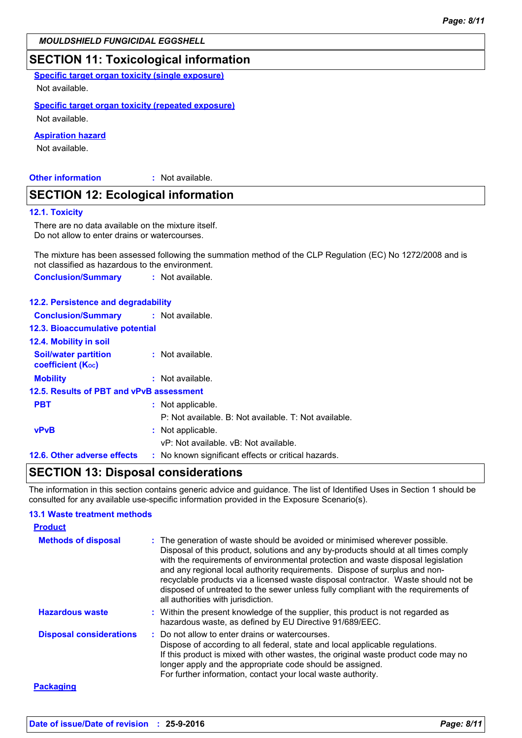#### *MOULDSHIELD FUNGICIDAL EGGSHELL*

# **SECTION 11: Toxicological information**

**Specific target organ toxicity (single exposure)**

Not available.

#### **Specific target organ toxicity (repeated exposure)**

Not available.

#### **Aspiration hazard**

Not available.

#### **Other information :**

: Not available.

# **SECTION 12: Ecological information**

#### **12.1. Toxicity**

There are no data available on the mixture itself. Do not allow to enter drains or watercourses.

The mixture has been assessed following the summation method of the CLP Regulation (EC) No 1272/2008 and is not classified as hazardous to the environment.

**Conclusion/Summary :** Not available.

# **12.2. Persistence and degradability**

| <b>Conclusion/Summary : Not available.</b>              |                                                       |
|---------------------------------------------------------|-------------------------------------------------------|
| <b>12.3. Bioaccumulative potential</b>                  |                                                       |
| <b>12.4. Mobility in soil</b>                           |                                                       |
| <b>Soil/water partition</b><br><b>coefficient (Koc)</b> | : Not available.                                      |
| <b>Mobility</b>                                         | $:$ Not available.                                    |
| 12.5. Results of PBT and vPvB assessment                |                                                       |
| <b>PBT</b>                                              | : Not applicable.                                     |
|                                                         | P: Not available. B: Not available. T: Not available. |
| <b>vPvB</b>                                             | : Not applicable.                                     |
|                                                         | vP: Not available, vB: Not available.                 |
| 12.6. Other adverse effects                             | : No known significant effects or critical hazards.   |

# **SECTION 13: Disposal considerations**

The information in this section contains generic advice and guidance. The list of Identified Uses in Section 1 should be consulted for any available use-specific information provided in the Exposure Scenario(s).

#### **13.1 Waste treatment methods**

| <b>Product</b>                 |                                                                                                                                                                                                                                                                                                                                                                                                                                                                                                                                                      |
|--------------------------------|------------------------------------------------------------------------------------------------------------------------------------------------------------------------------------------------------------------------------------------------------------------------------------------------------------------------------------------------------------------------------------------------------------------------------------------------------------------------------------------------------------------------------------------------------|
| <b>Methods of disposal</b>     | : The generation of waste should be avoided or minimised wherever possible.<br>Disposal of this product, solutions and any by-products should at all times comply<br>with the requirements of environmental protection and waste disposal legislation<br>and any regional local authority requirements. Dispose of surplus and non-<br>recyclable products via a licensed waste disposal contractor. Waste should not be<br>disposed of untreated to the sewer unless fully compliant with the requirements of<br>all authorities with jurisdiction. |
| <b>Hazardous waste</b>         | : Within the present knowledge of the supplier, this product is not regarded as<br>hazardous waste, as defined by EU Directive 91/689/EEC.                                                                                                                                                                                                                                                                                                                                                                                                           |
| <b>Disposal considerations</b> | : Do not allow to enter drains or watercourses.<br>Dispose of according to all federal, state and local applicable regulations.<br>If this product is mixed with other wastes, the original waste product code may no<br>longer apply and the appropriate code should be assigned.<br>For further information, contact your local waste authority.                                                                                                                                                                                                   |
| <b>Packaging</b>               |                                                                                                                                                                                                                                                                                                                                                                                                                                                                                                                                                      |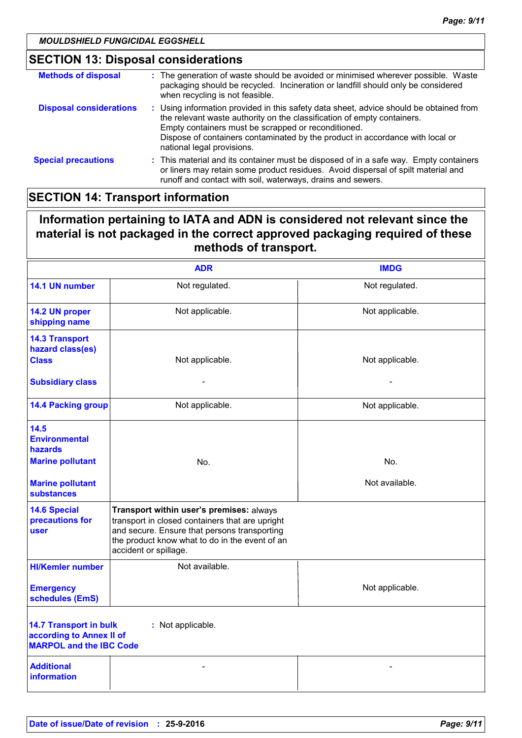# **SECTION 13: Disposal considerations**

| <b>Methods of disposal</b>     | : The generation of waste should be avoided or minimised wherever possible. Waste<br>packaging should be recycled. Incineration or landfill should only be considered<br>when recycling is not feasible.                                                                                                                                |
|--------------------------------|-----------------------------------------------------------------------------------------------------------------------------------------------------------------------------------------------------------------------------------------------------------------------------------------------------------------------------------------|
| <b>Disposal considerations</b> | : Using information provided in this safety data sheet, advice should be obtained from<br>the relevant waste authority on the classification of empty containers.<br>Empty containers must be scrapped or reconditioned.<br>Dispose of containers contaminated by the product in accordance with local or<br>national legal provisions. |
| <b>Special precautions</b>     | : This material and its container must be disposed of in a safe way. Empty containers<br>or liners may retain some product residues. Avoid dispersal of spilt material and<br>runoff and contact with soil, waterways, drains and sewers.                                                                                               |

# **SECTION 14: Transport information**

# **Information pertaining to IATA and ADN is considered not relevant since the material is not packaged in the correct approved packaging required of these methods of transport.**

|                                                                                                                  | <b>ADR</b>                                                                                                                                                                                                             | <b>IMDG</b>     |  |  |
|------------------------------------------------------------------------------------------------------------------|------------------------------------------------------------------------------------------------------------------------------------------------------------------------------------------------------------------------|-----------------|--|--|
| 14.1 UN number                                                                                                   | Not regulated.                                                                                                                                                                                                         | Not regulated.  |  |  |
| 14.2 UN proper<br>shipping name                                                                                  | Not applicable.                                                                                                                                                                                                        | Not applicable. |  |  |
| <b>14.3 Transport</b><br>hazard class(es)<br><b>Class</b>                                                        | Not applicable.                                                                                                                                                                                                        | Not applicable. |  |  |
| <b>Subsidiary class</b>                                                                                          |                                                                                                                                                                                                                        |                 |  |  |
| <b>14.4 Packing group</b>                                                                                        | Not applicable.                                                                                                                                                                                                        | Not applicable. |  |  |
| 14.5<br><b>Environmental</b><br><b>hazards</b>                                                                   |                                                                                                                                                                                                                        |                 |  |  |
| <b>Marine pollutant</b>                                                                                          | No.                                                                                                                                                                                                                    | No.             |  |  |
| <b>Marine pollutant</b><br><b>substances</b>                                                                     |                                                                                                                                                                                                                        | Not available.  |  |  |
| <b>14.6 Special</b><br>precautions for<br>user                                                                   | Transport within user's premises: always<br>transport in closed containers that are upright<br>and secure. Ensure that persons transporting<br>the product know what to do in the event of an<br>accident or spillage. |                 |  |  |
| <b>HI/Kemler number</b>                                                                                          | Not available.                                                                                                                                                                                                         |                 |  |  |
| <b>Emergency</b><br>schedules (EmS)                                                                              |                                                                                                                                                                                                                        | Not applicable. |  |  |
| <b>14.7 Transport in bulk</b><br>: Not applicable.<br>according to Annex II of<br><b>MARPOL and the IBC Code</b> |                                                                                                                                                                                                                        |                 |  |  |
| <b>Additional</b><br><b>information</b>                                                                          |                                                                                                                                                                                                                        |                 |  |  |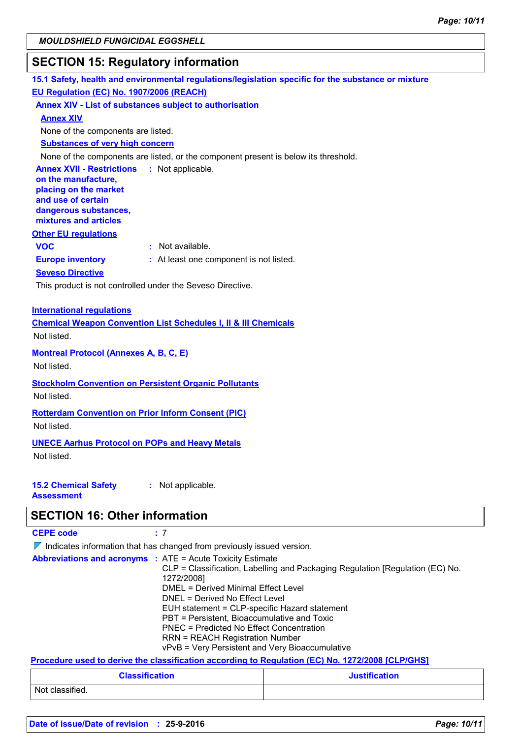# **SECTION 15: Regulatory information**

**15.1 Safety, health and environmental regulations/legislation specific for the substance or mixture Other EU regulations Annex XVII - Restrictions :** Not applicable. **on the manufacture, placing on the market and use of certain dangerous substances, mixtures and articles Europe inventory :** At least one component is not listed. **EU Regulation (EC) No. 1907/2006 (REACH) Annex XIV - List of substances subject to authorisation Annex XIV Substances of very high concern** None of the components are listed, or the component present is below its threshold. None of the components are listed. **VOC :** Not available. **Seveso Directive** This product is not controlled under the Seveso Directive.

#### **International regulations**

**Chemical Weapon Convention List Schedules I, II & III Chemicals** Not listed.

**Montreal Protocol (Annexes A, B, C, E)**

Not listed.

**Stockholm Convention on Persistent Organic Pollutants** Not listed.

## **Rotterdam Convention on Prior Inform Consent (PIC)**

Not listed.

#### **UNECE Aarhus Protocol on POPs and Heavy Metals**

Not listed.

#### **15.2 Chemical Safety Assessment :** Not applicable.

# **SECTION 16: Other information**

| <b>CEPE code</b>                                                                | : 7                                                                                                                                                                                                                                                                                                                                                                                                                                                                                |  |  |
|---------------------------------------------------------------------------------|------------------------------------------------------------------------------------------------------------------------------------------------------------------------------------------------------------------------------------------------------------------------------------------------------------------------------------------------------------------------------------------------------------------------------------------------------------------------------------|--|--|
| $\nabla$ Indicates information that has changed from previously issued version. |                                                                                                                                                                                                                                                                                                                                                                                                                                                                                    |  |  |
|                                                                                 | <b>Abbreviations and acronyms : ATE = Acute Toxicity Estimate</b><br>CLP = Classification, Labelling and Packaging Regulation [Regulation (EC) No.<br>1272/2008]<br>DMEL = Derived Minimal Effect Level<br>DNEL = Derived No Effect Level<br>EUH statement = CLP-specific Hazard statement<br>PBT = Persistent, Bioaccumulative and Toxic<br>PNEC = Predicted No Effect Concentration<br><b>RRN = REACH Registration Number</b><br>vPvB = Very Persistent and Very Bioaccumulative |  |  |
|                                                                                 | Procedure used to derive the classification according to Regulation (EC) No. 1272/2008 [CLP/GHS]                                                                                                                                                                                                                                                                                                                                                                                   |  |  |

| <b>Classification</b> | <b>Justification</b> |
|-----------------------|----------------------|
| Not classified.       |                      |